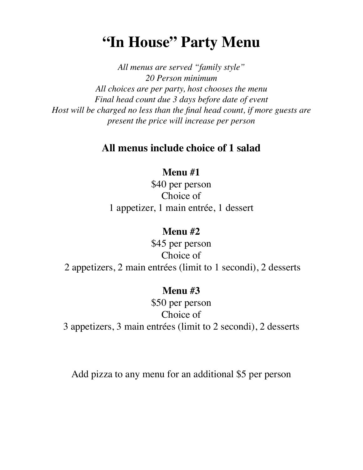# **"In House" Party Menu**

*All menus are served "family style" 20 Person minimum All choices are per party, host chooses the menu Final head count due 3 days before date of event Host will be charged no less than the final head count, if more guests are present the price will increase per person* 

# **All menus include choice of 1 salad**

# **Menu #1**

\$40 per person Choice of 1 appetizer, 1 main entrée, 1 dessert

# **Menu #2**

\$45 per person Choice of 2 appetizers, 2 main entrées (limit to 1 secondi), 2 desserts

# **Menu #3**

\$50 per person Choice of 3 appetizers, 3 main entrées (limit to 2 secondi), 2 desserts

Add pizza to any menu for an additional \$5 per person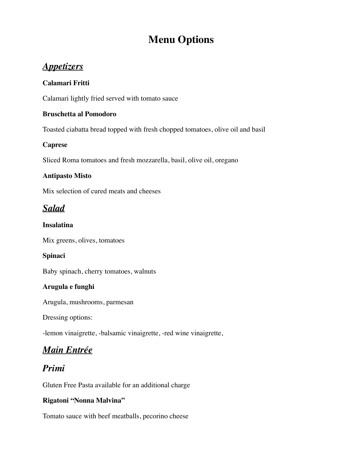# **Menu Options**

# *Appetizers*

### **Calamari Fritti**

Calamari lightly fried served with tomato sauce

### **Bruschetta al Pomodoro**

Toasted ciabatta bread topped with fresh chopped tomatoes, olive oil and basil

### **Caprese**

Sliced Roma tomatoes and fresh mozzarella, basil, olive oil, oregano

### **Antipasto Misto**

Mix selection of cured meats and cheeses

# *Salad*

### **Insalatina**

Mix greens, olives, tomatoes

### **Spinaci**

Baby spinach, cherry tomatoes, walnuts

### **Arugula e funghi**

Arugula, mushrooms, parmesan

Dressing options:

-lemon vinaigrette, -balsamic vinaigrette, -red wine vinaigrette,

# *Main Entrée*

# *Primi*

Gluten Free Pasta available for an additional charge

### **Rigatoni "Nonna Malvina"**

Tomato sauce with beef meatballs, pecorino cheese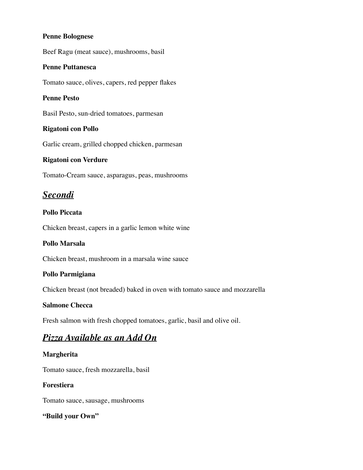#### **Penne Bolognese**

Beef Ragu (meat sauce), mushrooms, basil

#### **Penne Puttanesca**

Tomato sauce, olives, capers, red pepper flakes

#### **Penne Pesto**

Basil Pesto, sun-dried tomatoes, parmesan

#### **Rigatoni con Pollo**

Garlic cream, grilled chopped chicken, parmesan

#### **Rigatoni con Verdure**

Tomato-Cream sauce, asparagus, peas, mushrooms

# *Secondi*

#### **Pollo Piccata**

Chicken breast, capers in a garlic lemon white wine

#### **Pollo Marsala**

Chicken breast, mushroom in a marsala wine sauce

#### **Pollo Parmigiana**

Chicken breast (not breaded) baked in oven with tomato sauce and mozzarella

#### **Salmone Checca**

Fresh salmon with fresh chopped tomatoes, garlic, basil and olive oil.

### *Pizza Available as an Add On*

#### **Margherita**

Tomato sauce, fresh mozzarella, basil

#### **Forestiera**

Tomato sauce, sausage, mushrooms

#### **"Build your Own"**